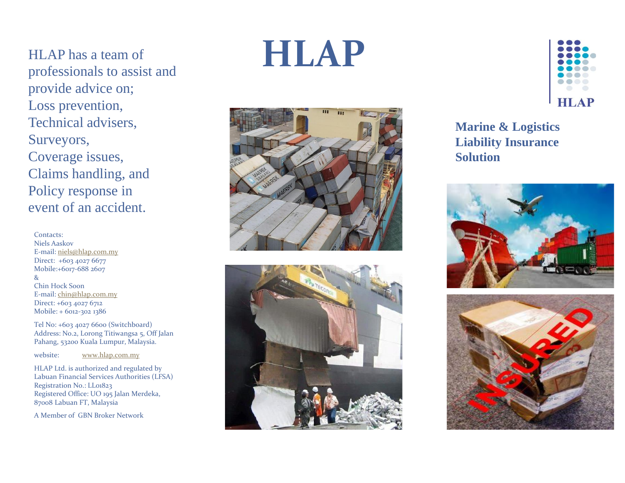HLAP has a team of professionals to assist and provide advice on; Loss prevention, Technical advisers, Surveyors, Coverage issues, Claims handling, and Policy response in event of an accident.

Contacts: Niels Aaskov E-mail: [niels@hlap.com.my](mailto:niels@hlap.com.my) Direct: +603 4027 6677 Mobile:+6017 -688 2607 & Chin Hock Soon E-mail: [chin@hlap.com.my](mailto:chin@hlap.com.my) Direct: +603 4027 6712 Mobile: + 6012 -302 1386

Tel No: +603 4027 6600 (Switchboard) Address: No.2, Lorong Titiwangsa 5, Off Jalan Pahang, 53200 Kuala Lumpur, Malaysia.

website: [www.hlap.com.my](http://www.hlap.com.my/)

HLAP Ltd. is authorized and regulated by Labuan Financial Services Authorities (LFSA) Registration No.: LL01823 Registered Office: UO 195 Jalan Merdeka, 87008 Labuan FT, Malaysia

A Member of GBN Broker Network

# **HLAP**





**Marine & Logistics Liability Insurance Solution**